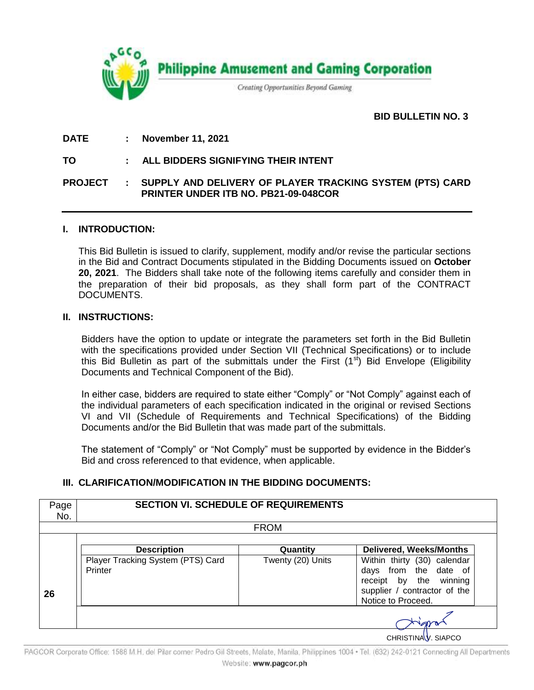

# **BID BULLETIN NO. 3.**

## **DATE : November 11, 2021**

### **TO : ALL BIDDERS SIGNIFYING THEIR INTENT**

## **PROJECT : SUPPLY AND DELIVERY OF PLAYER TRACKING SYSTEM (PTS) CARD PRINTER UNDER ITB NO. PB21-09-048COR**

### **I. INTRODUCTION:**

This Bid Bulletin is issued to clarify, supplement, modify and/or revise the particular sections in the Bid and Contract Documents stipulated in the Bidding Documents issued on **October 20, 2021**. The Bidders shall take note of the following items carefully and consider them in the preparation of their bid proposals, as they shall form part of the CONTRACT DOCUMENTS.

#### **II. INSTRUCTIONS:**

Bidders have the option to update or integrate the parameters set forth in the Bid Bulletin with the specifications provided under Section VII (Technical Specifications) or to include this Bid Bulletin as part of the submittals under the First  $(1<sup>st</sup>)$  Bid Envelope (Eligibility Documents and Technical Component of the Bid).

In either case, bidders are required to state either "Comply" or "Not Comply" against each of the individual parameters of each specification indicated in the original or revised Sections VI and VII (Schedule of Requirements and Technical Specifications) of the Bidding Documents and/or the Bid Bulletin that was made part of the submittals.

The statement of "Comply" or "Not Comply" must be supported by evidence in the Bidder's Bid and cross referenced to that evidence, when applicable.

# **III. CLARIFICATION/MODIFICATION IN THE BIDDING DOCUMENTS:**

|    | <b>FROM</b>                                  |                   |                                                                                                                                         |  |  |  |
|----|----------------------------------------------|-------------------|-----------------------------------------------------------------------------------------------------------------------------------------|--|--|--|
|    | <b>Description</b>                           | Quantity          | <b>Delivered, Weeks/Months</b>                                                                                                          |  |  |  |
| 26 | Player Tracking System (PTS) Card<br>Printer | Twenty (20) Units | Within thirty (30) calendar<br>from the date of<br>days<br>receipt by the winning<br>supplier / contractor of the<br>Notice to Proceed. |  |  |  |

PAGCOR Corporate Office: 1588 M.H. del Pilar corner Pedro Gil Streets, Malate, Manila, Philippines 1004 · Tel. (632) 242-0121 Connecting All Departments Website: www.pagcor.ph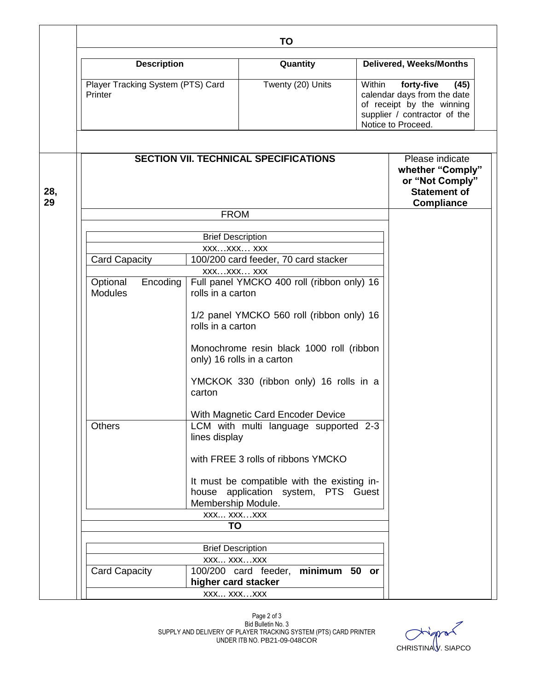|           | <b>Description</b><br>Player Tracking System (PTS) Card<br>Printer     |                                                                | Quantity                                                                           |                                                                                                                                                | <b>Delivered, Weeks/Months</b>                                                                     |  |
|-----------|------------------------------------------------------------------------|----------------------------------------------------------------|------------------------------------------------------------------------------------|------------------------------------------------------------------------------------------------------------------------------------------------|----------------------------------------------------------------------------------------------------|--|
|           |                                                                        |                                                                | Twenty (20) Units                                                                  | Within<br>forty-five<br>(45)<br>calendar days from the date<br>of receipt by the winning<br>supplier / contractor of the<br>Notice to Proceed. |                                                                                                    |  |
|           |                                                                        |                                                                |                                                                                    |                                                                                                                                                |                                                                                                    |  |
| 28,<br>29 | <b>SECTION VII. TECHNICAL SPECIFICATIONS</b>                           |                                                                |                                                                                    |                                                                                                                                                | Please indicate<br>whether "Comply"<br>or "Not Comply"<br><b>Statement of</b><br><b>Compliance</b> |  |
|           |                                                                        | <b>FROM</b>                                                    |                                                                                    |                                                                                                                                                |                                                                                                    |  |
|           |                                                                        | <b>Brief Description</b>                                       |                                                                                    |                                                                                                                                                |                                                                                                    |  |
|           |                                                                        | XXXXXX XXX                                                     |                                                                                    |                                                                                                                                                |                                                                                                    |  |
|           | <b>Card Capacity</b>                                                   |                                                                |                                                                                    |                                                                                                                                                |                                                                                                    |  |
|           |                                                                        | XXXXXX XXX                                                     |                                                                                    |                                                                                                                                                |                                                                                                    |  |
|           | Encoding<br>Optional<br><b>Modules</b>                                 | rolls in a carton                                              | Full panel YMCKO 400 roll (ribbon only) 16                                         |                                                                                                                                                |                                                                                                    |  |
|           |                                                                        | 1/2 panel YMCKO 560 roll (ribbon only) 16<br>rolls in a carton |                                                                                    |                                                                                                                                                |                                                                                                    |  |
|           | Monochrome resin black 1000 roll (ribbon<br>only) 16 rolls in a carton |                                                                |                                                                                    |                                                                                                                                                |                                                                                                    |  |
|           |                                                                        | carton                                                         | YMCKOK 330 (ribbon only) 16 rolls in a                                             |                                                                                                                                                |                                                                                                    |  |
|           |                                                                        |                                                                | With Magnetic Card Encoder Device                                                  |                                                                                                                                                |                                                                                                    |  |
|           | <b>Others</b>                                                          | lines display                                                  | LCM with multi language supported 2-3                                              |                                                                                                                                                |                                                                                                    |  |
|           |                                                                        |                                                                | with FREE 3 rolls of ribbons YMCKO                                                 |                                                                                                                                                |                                                                                                    |  |
|           |                                                                        | Membership Module.                                             | It must be compatible with the existing in-<br>house application system, PTS Guest |                                                                                                                                                |                                                                                                    |  |
|           |                                                                        | XXX XXXXXX                                                     |                                                                                    |                                                                                                                                                |                                                                                                    |  |
|           |                                                                        | <b>TO</b>                                                      |                                                                                    |                                                                                                                                                |                                                                                                    |  |
|           |                                                                        | <b>Brief Description</b><br>XXX XXXXXX                         |                                                                                    |                                                                                                                                                |                                                                                                    |  |
|           |                                                                        |                                                                |                                                                                    |                                                                                                                                                |                                                                                                    |  |
|           | <b>Card Capacity</b>                                                   | higher card stacker                                            | minimum 50 or<br>100/200 card feeder,                                              |                                                                                                                                                |                                                                                                    |  |
|           |                                                                        | XXX XXXXXX                                                     |                                                                                    |                                                                                                                                                |                                                                                                    |  |

 $\star$ CHRISTINAV. SIAPCO